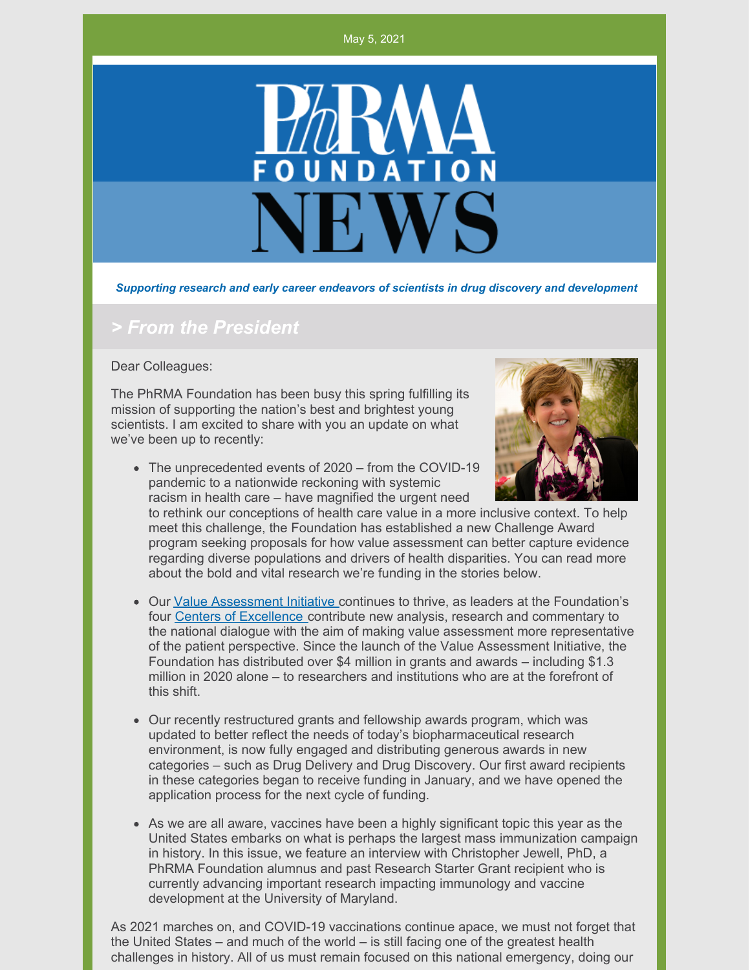#### May 5, 2021



*Supporting research and early career endeavors of scientists in drug discovery and development*

### *> From the President*

Dear Colleagues:

The PhRMA Foundation has been busy this spring fulfilling its mission of supporting the nation's best and brightest young scientists. I am excited to share with you an update on what we've been up to recently:

• The unprecedented events of 2020 – from the COVID-19 pandemic to a nationwide reckoning with systemic racism in health care – have magnified the urgent need



to rethink our conceptions of health care value in a more inclusive context. To help meet this challenge, the Foundation has established a new Challenge Award program seeking proposals for how value assessment can better capture evidence regarding diverse populations and drivers of health disparities. You can read more about the bold and vital research we're funding in the stories below.

- Our Value [Assessment](http://www.phrmafoundation.org/value-assessment/) Initiative continues to thrive, as leaders at the Foundation's four Centers of [Excellence](http://www.phrmafoundation.org/centers-of-excellence-in-value-assessment/) contribute new analysis, research and commentary to the national dialogue with the aim of making value assessment more representative of the patient perspective. Since the launch of the Value Assessment Initiative, the Foundation has distributed over \$4 million in grants and awards – including \$1.3 million in 2020 alone – to researchers and institutions who are at the forefront of this shift.
- Our recently restructured grants and fellowship awards program, which was updated to better reflect the needs of today's biopharmaceutical research environment, is now fully engaged and distributing generous awards in new categories – such as Drug Delivery and Drug Discovery. Our first award recipients in these categories began to receive funding in January, and we have opened the application process for the next cycle of funding.
- As we are all aware, vaccines have been a highly significant topic this year as the United States embarks on what is perhaps the largest mass immunization campaign in history. In this issue, we feature an interview with Christopher Jewell, PhD, a PhRMA Foundation alumnus and past Research Starter Grant recipient who is currently advancing important research impacting immunology and vaccine development at the University of Maryland.

As 2021 marches on, and COVID-19 vaccinations continue apace, we must not forget that the United States – and much of the world – is still facing one of the greatest health challenges in history. All of us must remain focused on this national emergency, doing our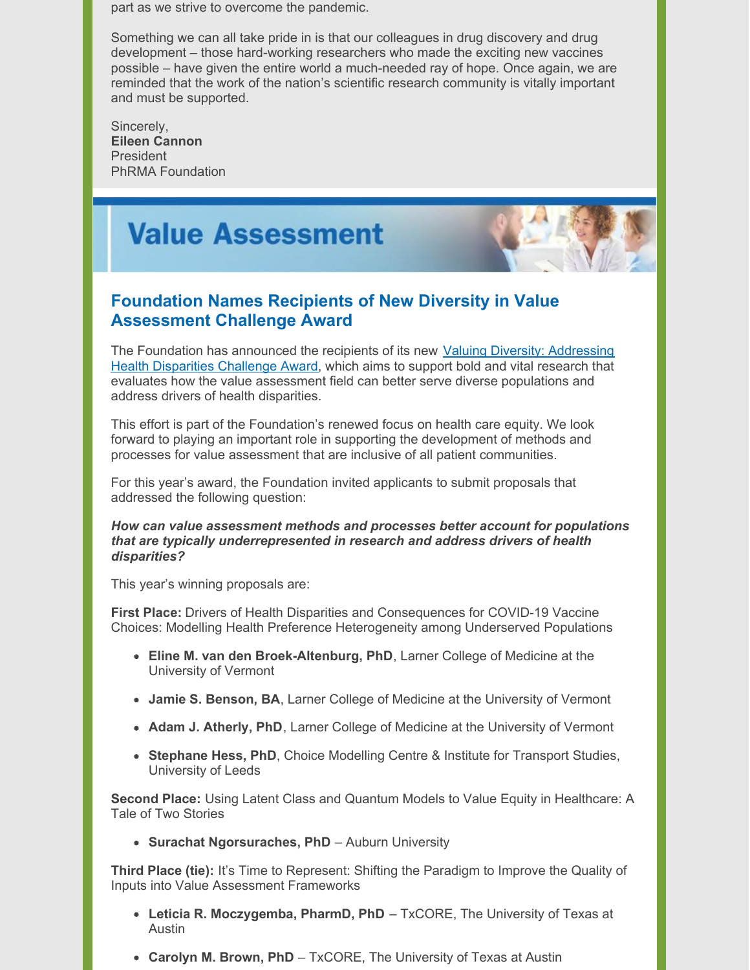part as we strive to overcome the pandemic.

Something we can all take pride in is that our colleagues in drug discovery and drug development – those hard-working researchers who made the exciting new vaccines possible – have given the entire world a much-needed ray of hope. Once again, we are reminded that the work of the nation's scientific research community is vitally important and must be supported.

Sincerely, **Eileen Cannon** President PhRMA Foundation

# **Value Assessment**

### **Foundation Names Recipients of New Diversity in Value Assessment Challenge Award**

The [Foundation](http://www.phrmafoundation.org/awards/value-assessment-initiative/valuing-health-equity-challenge-award/) has announced the recipients of its new Valuing Diversity: Addressing Health Disparities Challenge Award, which aims to support bold and vital research that evaluates how the value assessment field can better serve diverse populations and address drivers of health disparities.

This effort is part of the Foundation's renewed focus on health care equity. We look forward to playing an important role in supporting the development of methods and processes for value assessment that are inclusive of all patient communities.

For this year's award, the Foundation invited applicants to submit proposals that addressed the following question:

#### *How can value assessment methods and processes better account for populations that are typically underrepresented in research and address drivers of health disparities?*

This year's winning proposals are:

**First Place:** Drivers of Health Disparities and Consequences for COVID-19 Vaccine Choices: Modelling Health Preference Heterogeneity among Underserved Populations

- **Eline M. van den Broek-Altenburg, PhD**, Larner College of Medicine at the University of Vermont
- **Jamie S. Benson, BA**, Larner College of Medicine at the University of Vermont
- **Adam J. Atherly, PhD**, Larner College of Medicine at the University of Vermont
- **Stephane Hess, PhD**, Choice Modelling Centre & Institute for Transport Studies, University of Leeds

**Second Place:** Using Latent Class and Quantum Models to Value Equity in Healthcare: A Tale of Two Stories

**Surachat Ngorsuraches, PhD** – Auburn University

**Third Place (tie):** It's Time to Represent: Shifting the Paradigm to Improve the Quality of Inputs into Value Assessment Frameworks

- **Leticia R. Moczygemba, PharmD, PhD** TxCORE, The University of Texas at Austin
- **Carolyn M. Brown, PhD** TxCORE, The University of Texas at Austin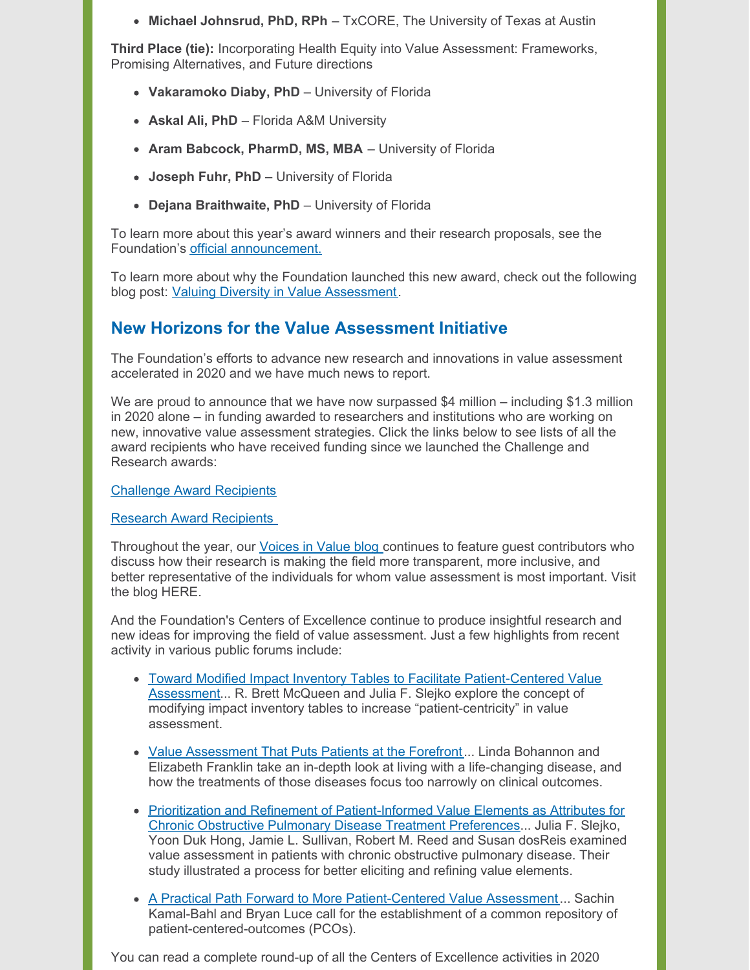**Michael Johnsrud, PhD, RPh** – TxCORE, The University of Texas at Austin

**Third Place (tie):** Incorporating Health Equity into Value Assessment: Frameworks, Promising Alternatives, and Future directions

- **Vakaramoko Diaby, PhD** University of Florida
- **Askal Ali, PhD** Florida A&M University
- **Aram Babcock, PharmD, MS, MBA** University of Florida
- **Joseph Fuhr, PhD** University of Florida
- **Dejana Braithwaite, PhD** University of Florida

To learn more about this year's award winners and their research proposals, see the Foundation's official [announcement.](http://www.phrmafoundation.org/wp-content/uploads/2021/03/PF-Health-Equity-Challenge-Award-Winners_Final-3.31.2021.pdf)

To learn more about why the Foundation launched this new award, check out the following blog post: Valuing Diversity in Value [Assessment](http://www.phrmafoundation.org/2020/11/valuing-diversity-in-value-assessment/).

### **New Horizons for the Value Assessment Initiative**

The Foundation's efforts to advance new research and innovations in value assessment accelerated in 2020 and we have much news to report.

We are proud to announce that we have now surpassed \$4 million – including \$1.3 million in 2020 alone – in funding awarded to researchers and institutions who are working on new, innovative value assessment strategies. Click the links below to see lists of all the award recipients who have received funding since we launched the Challenge and Research awards:

Challenge Award [Recipients](http://www.phrmafoundation.org/challenge-awards/)

**Research Award [Recipients](http://www.phrmafoundation.org/what-are-vai-research-awards/)** 

Throughout the year, our [Voices](http://www.phrmafoundation.org/blog/) in Value blog continues to feature guest contributors who discuss how their research is making the field more transparent, more inclusive, and better representative of the individuals for whom value assessment is most important. Visit the blog HERE.

And the Foundation's Centers of Excellence continue to produce insightful research and new ideas for improving the field of value assessment. Just a few highlights from recent activity in various public forums include:

- Toward Modified Impact Inventory Tables to Facilitate Patient-Centered Value [Assessment...](http://www.phrmafoundation.org/wp-content/uploads/2021/03/McQueen-Slejko2021_Article_TowardModifiedImpactInventoryT.pdf) R. Brett McQueen and Julia F. Slejko explore the concept of modifying impact inventory tables to increase "patient-centricity" in value assessment.
- Value [Assessment](http://www.phrmafoundation.org/wp-content/uploads/2021/03/Value-Assessment-That-Puts-Patients-at-the-Forefront-2.2021.pdf) That Puts Patients at the Forefront... Linda Bohannon and Elizabeth Franklin take an in-depth look at living with a life-changing disease, and how the treatments of those diseases focus too narrowly on clinical outcomes.
- Prioritization and Refinement of [Patient-Informed](http://www.phrmafoundation.org/wp-content/uploads/2021/03/Slejko2021_Article_PrioritizationAndRefinementOfP.pdf) Value Elements as Attributes for Chronic Obstructive Pulmonary Disease Treatment Preferences... Julia F. Slejko, Yoon Duk Hong, Jamie L. Sullivan, Robert M. Reed and Susan dosReis examined value assessment in patients with chronic obstructive pulmonary disease. Their study illustrated a process for better eliciting and refining value elements.
- A Practical Path Forward to More [Patient-Centered](https://www.ajmc.com/view/a-practical-path-forward-to-more-patient-centered-value-assessment-advancing-patient-centered-outcomes) Value Assessment... Sachin Kamal-Bahl and Bryan Luce call for the establishment of a common repository of patient-centered-outcomes (PCOs).

You can read a complete round-up of all the Centers of Excellence activities in 2020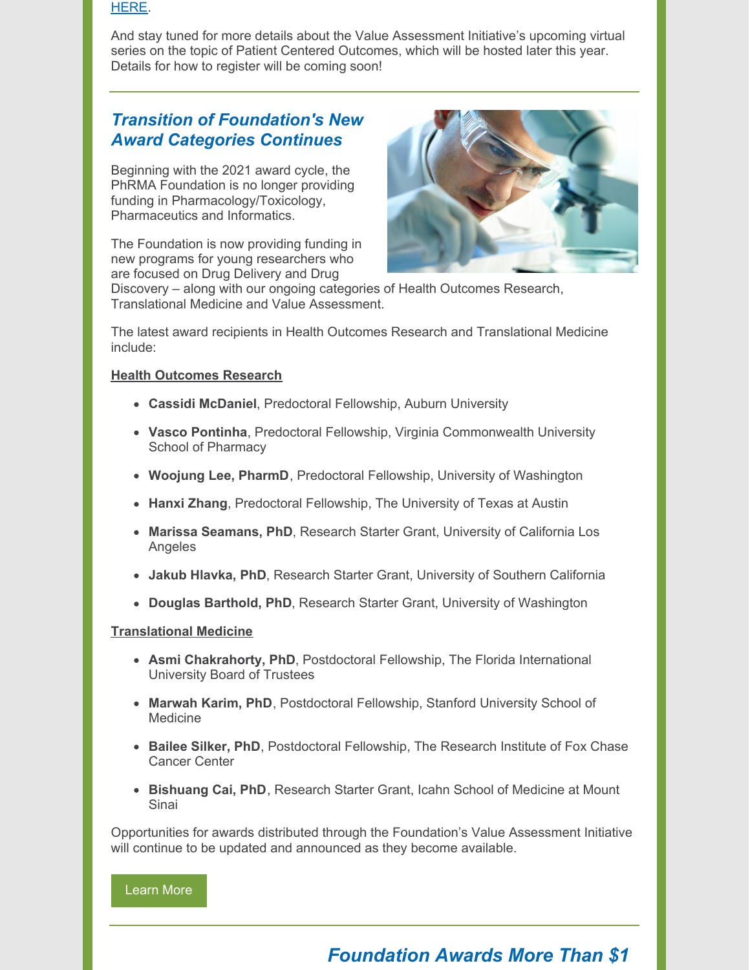#### [HERE](http://www.phrmafoundation.org/wp-content/uploads/2021/04/VAI-Year-End-Review-2020-4.12.21.pdf).

And stay tuned for more details about the Value Assessment Initiative's upcoming virtual series on the topic of Patient Centered Outcomes, which will be hosted later this year. Details for how to register will be coming soon!

### *Transition of Foundation's New Award Categories Continues*

Beginning with the 2021 award cycle, the PhRMA Foundation is no longer providing funding in Pharmacology/Toxicology, Pharmaceutics and Informatics.

The Foundation is now providing funding in new programs for young researchers who are focused on Drug Delivery and Drug



Discovery – along with our ongoing categories of Health Outcomes Research, Translational Medicine and Value Assessment.

The latest award recipients in Health Outcomes Research and Translational Medicine include:

#### **Health Outcomes Research**

- **Cassidi McDaniel**, Predoctoral Fellowship, Auburn University
- **Vasco Pontinha**, Predoctoral Fellowship, Virginia Commonwealth University School of Pharmacy
- **Woojung Lee, PharmD**, Predoctoral Fellowship, University of Washington
- **Hanxi Zhang**, Predoctoral Fellowship, The University of Texas at Austin
- **Marissa Seamans, PhD**, Research Starter Grant, University of California Los Angeles
- **Jakub Hlavka, PhD**, Research Starter Grant, University of Southern California
- **Douglas Barthold, PhD**, Research Starter Grant, University of Washington

#### **Translational Medicine**

- **Asmi Chakrahorty, PhD**, Postdoctoral Fellowship, The Florida International University Board of Trustees
- **Marwah Karim, PhD**, Postdoctoral Fellowship, Stanford University School of Medicine
- **Bailee Silker, PhD**, Postdoctoral Fellowship, The Research Institute of Fox Chase Cancer Center
- **Bishuang Cai, PhD**, Research Starter Grant, Icahn School of Medicine at Mount Sinai

Opportunities for awards distributed through the Foundation's Value Assessment Initiative will continue to be updated and announced as they become available.

#### [Learn](http://www.phrmafoundation.org/awards/) More

# *Foundation Awards More Than \$1*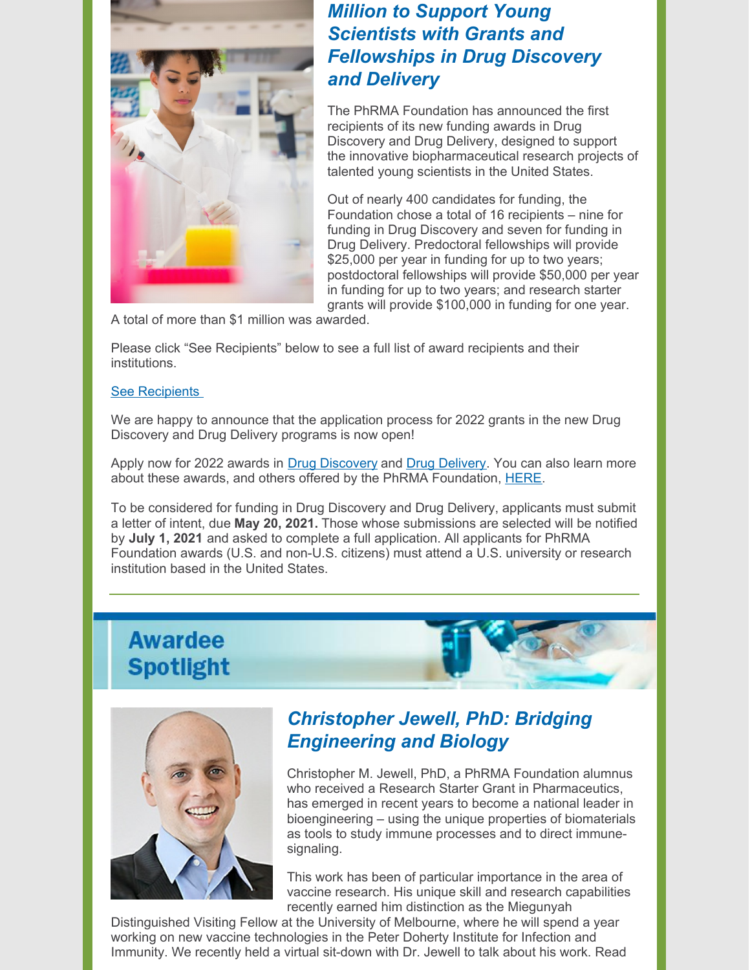

## *Million to Support Young Scientists with Grants and Fellowships in Drug Discovery and Delivery*

The PhRMA Foundation has announced the first recipients of its new funding awards in Drug Discovery and Drug Delivery, designed to support the innovative biopharmaceutical research projects of talented young scientists in the United States.

Out of nearly 400 candidates for funding, the Foundation chose a total of 16 recipients – nine for funding in Drug Discovery and seven for funding in Drug Delivery. Predoctoral fellowships will provide \$25,000 per year in funding for up to two years; postdoctoral fellowships will provide \$50,000 per year in funding for up to two years; and research starter grants will provide \$100,000 in funding for one year.

A total of more than \$1 million was awarded.

Please click "See Recipients" below to see a full list of award recipients and their institutions.

#### See [Recipients](http://www.phrmafoundation.org/wp-content/uploads/2020/12/NR-Drug-Discovery-and-Drug-Delivery-Dec-20-v5.pdf)

We are happy to announce that the application process for 2022 grants in the new Drug Discovery and Drug Delivery programs is now open!

Apply now for 2022 awards in Drug [Discovery](http://www.phrmafoundation.org/awards/pre-doctoral-fellowship-awards/drug-discovery/) and Drug [Delivery](http://www.phrmafoundation.org/awards/pre-doctoral-fellowship-awards/drug-delivery/). You can also learn more about these awards, and others offered by the PhRMA Foundation, [HERE](http://www.phrmafoundation.org/awards/).

To be considered for funding in Drug Discovery and Drug Delivery, applicants must submit a letter of intent, due **May 20, 2021.** Those whose submissions are selected will be notified by **July 1, 2021** and asked to complete a full application. All applicants for PhRMA Foundation awards (U.S. and non-U.S. citizens) must attend a U.S. university or research institution based in the United States.





# *Christopher Jewell, PhD: Bridging Engineering and Biology*

Christopher M. Jewell, PhD, a PhRMA Foundation alumnus who received a Research Starter Grant in Pharmaceutics, has emerged in recent years to become a national leader in bioengineering – using the unique properties of biomaterials as tools to study immune processes and to direct immunesignaling.

This work has been of particular importance in the area of vaccine research. His unique skill and research capabilities recently earned him distinction as the Miegunyah

Distinguished Visiting Fellow at the University of Melbourne, where he will spend a year working on new vaccine technologies in the Peter Doherty Institute for Infection and Immunity. We recently held a virtual sit-down with Dr. Jewell to talk about his work. Read